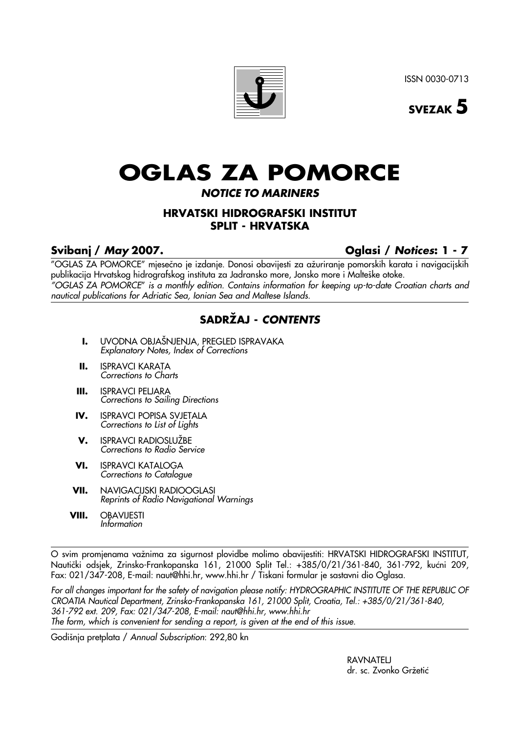ISSN 0030-0713



# **OGLAS ZA POMORCE**

## **NOTICE TO MARINERS**

## **HRVATSKI HIDROGRAFSKI INSTITUT SPLIT - HRVATSKA**

## **Svibanj / May 2007. Oglasi / Notices: 1 - 7**

"OGLAS ZA POMORCE" mjesečno je izdanje. Donosi obavijesti za ažuriranje pomorskih karata i navigacijskih publikacija Hrvatskog hidrografskog instituta za Jadransko more, Jonsko more i Malteške otoke. "OGLAS ZA POMORCE" is a monthly edition. Contains information for keeping up-to-date Croatian charts and nautical publications for Adriatic Sea, Ionian Sea and Maltese Islands.

## **SADRÆAJ - CONTENTS**

- **I.** UVODNA OBJAŠNJENJA, PREGLED ISPRAVAKA Explanatory Notes, Index of Corrections
- **II.** ISPRAVCI KARATA Corrections to Charts
- **III.** ISPRAVCI PELJARA Corrections to Sailing Directions
- **IV.** ISPRAVCI POPISA SVJETALA Corrections to List of Lights
- **V.** ISPRAVCI RADIOSLUŽBE Corrections to Radio Service
- **VI.** ISPRAVCI KATALOGA Corrections to Catalogue
- **VII.** NAVIGACIJSKI RADIOOGLASI Reprints of Radio Navigational Warnings
- **VIII.** OBAVIJESTI Information

O svim promjenama važnima za sigurnost plovidbe molimo obavijestiti: HRVATSKI HIDROGRAFSKI INSTITUT, Nautički odsjek, Zrinsko-Frankopanska 161, 21000 Split Tel.: +385/0/21/361-840, 361-792, kućni 209, Fax: 021/347-208, E-mail: naut@hhi.hr, www.hhi.hr / Tiskani formular je sastavni dio Oglasa.

For all changes important for the safety of navigation please notify: HYDROGRAPHIC INSTITUTE OF THE REPUBLIC OF CROATIA Nautical Department, Zrinsko-Frankopanska 161, 21000 Split, Croatia, Tel.: +385/0/21/361-840, 361-792 ext. 209, Fax: 021/347-208, E-mail: naut@hhi.hr, www.hhi.hr The form, which is convenient for sending a report, is given at the end of this issue.

Godišnja pretplata / Annual Subscription: 292,80 kn

RAVNATELJ dr. sc. Zvonko Gržetić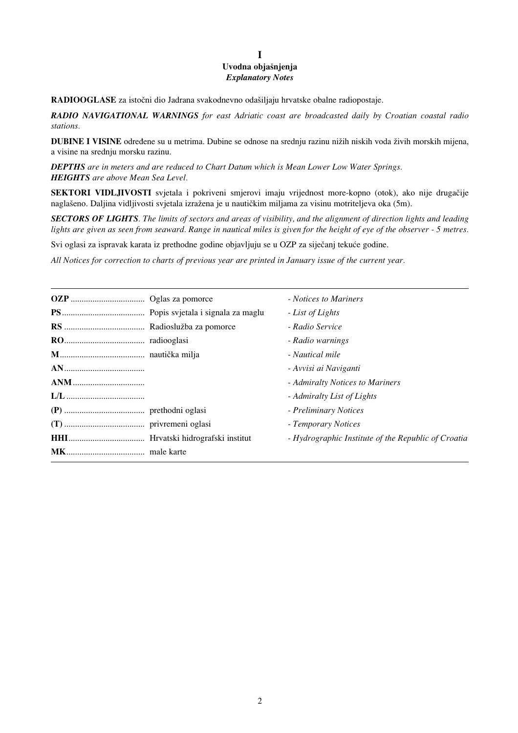## **I** Uvodna objašnjenja *Explanatory Notes*

**RADIOOGLASE** za istočni dio Jadrana svakodnevno odašiljaju hrvatske obalne radiopostaje.

*RADIO NAVIGATIONAL WARNINGS for east Adriatic coast are broadcasted daily by Croatian coastal radio stations.*

**DUBINE I VISINE** određene su u metrima. Dubine se odnose na srednju razinu nižih niskih voda živih morskih mijena, a visine na srednju morsku razinu.

*DEPTHS are in meters and are reduced to Chart Datum which is Mean Lower Low Water Springs. HEIGHTS are above Mean Sea Level.*

**SEKTORI VIDLJIVOSTI** svjetala i pokriveni smjerovi imaju vrijednost more-kopno (otok), ako nije drugaËije naglašeno. Daljina vidljivosti svjetala izražena je u nautičkim miljama za visinu motriteljeva oka (5m).

*SECTORS OF LIGHTS. The limits of sectors and areas of visibility, and the alignment of direction lights and leading lights are given as seen from seaward. Range in nautical miles is given for the height of eye of the observer - 5 metres.* 

Svi oglasi za ispravak karata iz prethodne godine objavljuju se u OZP za siječanj tekuće godine.

*All Notices for correction to charts of previous year are printed in January issue of the current year.*

|  | - Notices to Mariners                               |
|--|-----------------------------------------------------|
|  | - List of Lights                                    |
|  | - Radio Service                                     |
|  | - Radio warnings                                    |
|  | - Nautical mile                                     |
|  | - Avvisi ai Naviganti                               |
|  | - Admiralty Notices to Mariners                     |
|  | - Admiralty List of Lights                          |
|  | - Preliminary Notices                               |
|  | - Temporary Notices                                 |
|  | - Hydrographic Institute of the Republic of Croatia |
|  |                                                     |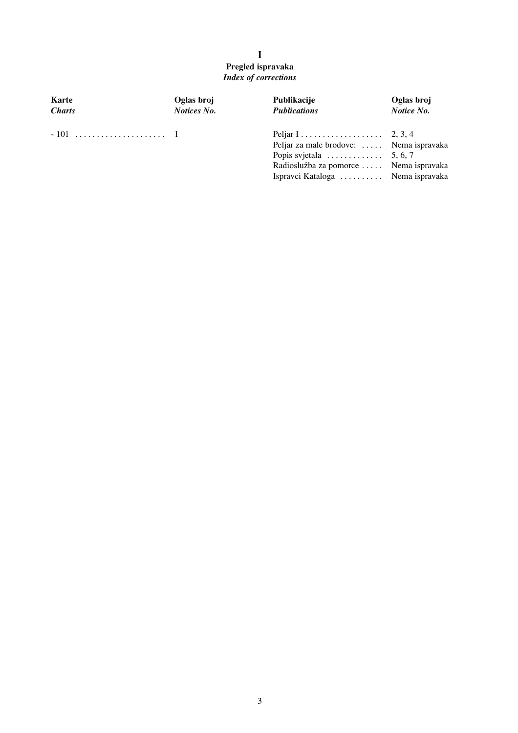## **I Pregled ispravaka** *Index of corrections*

| Karte         | Oglas broj         | Publikacije                                                                                                                                                                | Oglas broj |  |
|---------------|--------------------|----------------------------------------------------------------------------------------------------------------------------------------------------------------------------|------------|--|
| <b>Charts</b> | <b>Notices No.</b> | <b>Publications</b>                                                                                                                                                        | Notice No. |  |
|               |                    | Peljar za male brodove:  Nema ispravaka<br>Popis svjetala $\dots \dots \dots \dots$ 5, 6, 7<br>Radioslužba za pomorce  Nema ispravaka<br>Ispravci Kataloga  Nema ispravaka |            |  |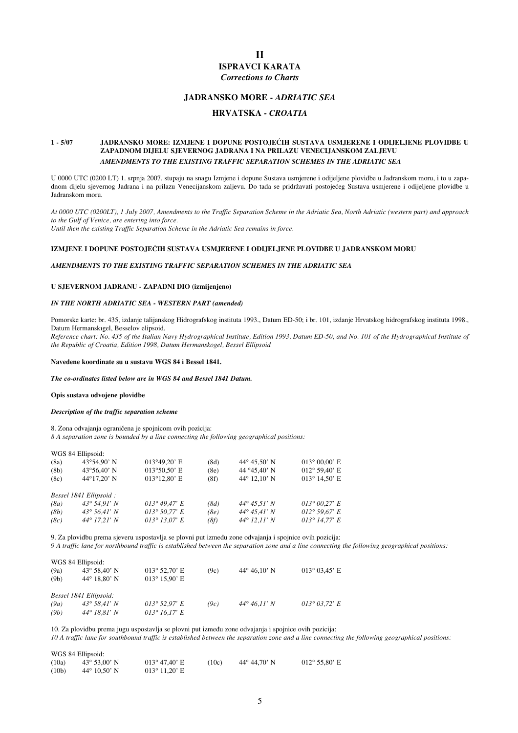## **II ISPRAVCI KARATA**

*Corrections to Charts*

#### **JADRANSKO MORE -** *ADRIATIC SEA*

### **HRVATSKA** *- CROATIA*

#### **1 - 5/07 JADRANSKO MORE: IZMJENE I DOPUNE POSTOJE∆IH SUSTAVA USMJERENE I ODIJELJENE PLOVIDBE U ZAPADNOM DIJELU SJEVERNOG JADRANA I NA PRILAZU VENECIJANSKOM ZALJEVU** *AMENDMENTS TO THE EXISTING TRAFFIC SEPARATION SCHEMES IN THE ADRIATIC SEA*

U 0000 UTC (0200 LT) 1. srpnja 2007. stupaju na snagu Izmjene i dopune Sustava usmjerene i odijeljene plovidbe u Jadranskom moru, i to u zapadnom dijelu sjevernog Jadrana i na prilazu Venecijanskom zaljevu. Do tada se pridržavati postojećeg Sustava usmjerene i odijeljene plovidbe u Jadranskom moru.

*At 0000 UTC (0200LT), 1 July 2007, Amendments to the Traffic Separation Scheme in the Adriatic Sea, North Adriatic (western part) and approach to the Gulf of Venice, are entering into force.* 

*Until then the existing Traffic Separation Scheme in the Adriatic Sea remains in force.*

#### **IZMJENE I DOPUNE POSTOJE∆IH SUSTAVA USMJERENE I ODIJELJENE PLOVIDBE U JADRANSKOM MORU**

#### *AMENDMENTS TO THE EXISTING TRAFFIC SEPARATION SCHEMES IN THE ADRIATIC SEA*

#### **U SJEVERNOM JADRANU - ZAPADNI DIO (izmijenjeno)**

#### *IN THE NORTH ADRIATIC SEA - WESTERN PART (amended)*

Pomorske karte: br. 435, izdanje talijanskog Hidrografskog instituta 1993., Datum ED-50; i br. 101, izdanje Hrvatskog hidrografskog instituta 1998., Datum Hermanskıgel, Besselov elipsoid.

*Reference chart: No. 435 of the Italian Navy Hydrographical Institute, Edition 1993, Datum ED-50, and No. 101 of the Hydrographical Institute of the Republic of Croatia, Edition 1998, Datum Hermanskogel, Bessel Ellipsoid* 

#### **Navedene koordinate su u sustavu WGS 84 i Bessel 1841.**

*The co-ordinates listed below are in WGS 84 and Bessel 1841 Datum.* 

#### **Opis sustava odvojene plovidbe**

#### *Description of the traffic separation scheme*

8. Zona odvajanja ograničena je spojnicom ovih pozicija:

*8 A separation zone is bounded by a line connecting the following geographical positions:* 

| WGS 84 Ellipsoid:<br>(8a)<br>(8b)<br>(8c) | $43^{\circ}54.90'$ N<br>$43^{\circ}56.40$ ' N<br>44°17,20' N                                      | $013^{\circ}49.20$ ' E<br>$013°50.50$ ' E<br>$013^{\circ}12.80$ ' E | (8d)<br>(8e)<br>(8f) | 44 $\degree$ 45,50' N<br>44 ° 45,40' N<br>44 $\degree$ 12.10' N         | $013^{\circ} 00,00$ ' E<br>$012^{\circ} 59,40' E$<br>$013^{\circ}$ 14,50' E |
|-------------------------------------------|---------------------------------------------------------------------------------------------------|---------------------------------------------------------------------|----------------------|-------------------------------------------------------------------------|-----------------------------------------------------------------------------|
| (8a)<br>(8b)<br>(8c)                      | Bessel 1841 Ellipsoid:<br>$43^{\circ} 54.91' N$<br>$43^{\circ} 56.41' N$<br>$44^{\circ}$ 17,21' N | 013° 49.47' E<br>$013^{\circ} 50.77 E$<br>$013^{\circ} 13.07 E$     | (8d)<br>(8e)<br>(8f) | $44^{\circ} 45.51' N$<br>$44^{\circ} 45.41' N$<br>$44^{\circ}$ 12,11' N | $013^{\circ} 00.27 E$<br>$012^{\circ} 59.67 E$<br>$013^{\circ}$ 14.77' E    |

9. Za plovidbu prema sjeveru uspostavlja se plovni put između zone odvajanja i spojnice ovih pozicija: *9 A traffic lane for northbound traffic is established between the separation zone and a line connecting the following geographical positions:* 

| WGS 84 Ellipsoid: |                        |                               |      |                       |                                |
|-------------------|------------------------|-------------------------------|------|-----------------------|--------------------------------|
| (9a)              | $43^{\circ} 58.40' N$  | $013^{\circ}$ 52,70' E        | (9c) | $44^{\circ} 46.10'$ N | $013^{\circ} 03.45$ ' E        |
| (9b)              | $44^{\circ}$ 18,80' N  | $013^{\circ} 15.90^{\circ}$ E |      |                       |                                |
|                   |                        |                               |      |                       |                                |
|                   | Bessel 1841 Ellipsoid: |                               |      |                       |                                |
| (9a)              | $43^{\circ} 58.41' N$  | $013^{\circ}$ 52,97' E        | (9c) | $44^{\circ} 46.11' N$ | $013^{\circ} 03.72^{\prime} E$ |
| (9b)              | $44^{\circ}$ 18.81' N  | 013° 16.17' E                 |      |                       |                                |

10. Za plovidbu prema jugu uspostavlja se plovni put između zone odvajanja i spojnice ovih pozicija: *10 A traffic lane for southbound traffic is established between the separation zone and a line connecting the following geographical positions:* 

| WGS 84 Ellipsoid:  |                              |                        |       |                       |                               |  |  |
|--------------------|------------------------------|------------------------|-------|-----------------------|-------------------------------|--|--|
| (10a)              | $43^{\circ} 53.00^{\circ}$ N | $013^{\circ}$ 47.40' E | (10c) | $44^{\circ} 44.70'$ N | $012^{\circ} 55.80^{\circ}$ E |  |  |
| (10 <sub>b</sub> ) | $44^{\circ}$ 10.50' N        | $013^{\circ}$ 11,20' E |       |                       |                               |  |  |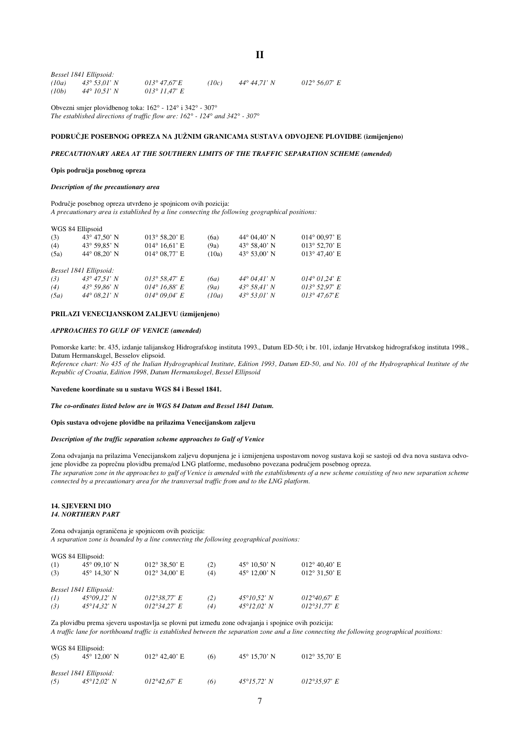| Bessel 1841 Ellipsoid: |                       |                       |       |                       |                                |  |
|------------------------|-----------------------|-----------------------|-------|-----------------------|--------------------------------|--|
| (10a)                  | 43° 53.01' N          | $013^{\circ}$ 47.67'E | (10c) | $44^{\circ} 44.71' N$ | $012^{\circ} 56.07^{\prime} E$ |  |
| (10b)                  | $44^{\circ} 10.51' N$ | 013° 11.47' E         |       |                       |                                |  |

Obvezni smjer plovidbenog toka: 162° - 124° i 342° - 307° *The established directions of traffic flow are: 162° - 124° and 342° - 307°* 

#### **PODRU»JE POSEBNOG OPREZA NA JUÆNIM GRANICAMA SUSTAVA ODVOJENE PLOVIDBE (izmijenjeno)**

**II**

#### *PRECAUTIONARY AREA AT THE SOUTHERN LIMITS OF THE TRAFFIC SEPARATION SCHEME (amended)*

#### **Opis podruËja posebnog opreza**

 $WCG 84$  Ellissoid

#### *Description of the precautionary area*

Područje posebnog opreza utvrđeno je spojnicom ovih pozicija: *A precautionary area is established by a line connecting the following geographical positions:* 

|      | $WU3$ 04 Empsoid             |                               |       |                              |                         |
|------|------------------------------|-------------------------------|-------|------------------------------|-------------------------|
| (3)  | $43^{\circ} 47.50^{\circ}$ N | $013^{\circ} 58,20$ ' E       | (6a)  | $44^{\circ}$ 04.40' N        | $014^{\circ} 00.97$ ' E |
| (4)  | $43^{\circ} 59.85' N$        | $014^{\circ} 16.61' E$        | (9a)  | $43^{\circ} 58,40^{\circ} N$ | $013^{\circ}$ 52,70' E  |
| (5a) | $44^{\circ}$ 08.20' N        | $014^{\circ}$ 08.77' E        | (10a) | 43 $\degree$ 53,00' N        | $013^{\circ}$ 47,40' E  |
|      |                              |                               |       |                              |                         |
|      | Bessel 1841 Ellipsoid:       |                               |       |                              |                         |
| (3)  | $43^{\circ} 47.51' N$        | $013^{\circ} 58.47 E$         | (6a)  | $44^{\circ} 04.41' N$        | $014^{\circ} 01.24$ ' E |
| (4)  | $43^{\circ} 59.86' N$        | $014^{\circ} 16.88^{\circ} E$ | (9a)  | $43^{\circ} 58.41' N$        | $013^{\circ}$ 52,97' E  |
| (5a) | $44^{\circ} 08.21' N$        | $014^{\circ} 09.04^{\circ} E$ | (10a) | $43^{\circ} 53.01' N$        | $013^{\circ}$ 47.67'E   |
|      |                              |                               |       |                              |                         |

#### **PRILAZI VENECIJANSKOM ZALJEVU (izmijenjeno)**

#### *APPROACHES TO GULF OF VENICE (amended)*

Pomorske karte: br. 435, izdanje talijanskog Hidrografskog instituta 1993., Datum ED-50; i br. 101, izdanje Hrvatskog hidrografskog instituta 1998., Datum Hermanskıgel, Besselov elipsoid.

*Reference chart: No 435 of the Italian Hydrographical Institute, Edition 1993, Datum ED-50, and No. 101 of the Hydrographical Institute of the Republic of Croatia, Edition 1998, Datum Hermanskogel, Bessel Ellipsoid* 

#### **Navedene koordinate su u sustavu WGS 84 i Bessel 1841.**

*The co-ordinates listed below are in WGS 84 Datum and Bessel 1841 Datum.* 

#### **Opis sustava odvojene plovidbe na prilazima Venecijanskom zaljevu**

#### *Description of the traffic separation scheme approaches to Gulf of Venice*

Zona odvajanja na prilazima Venecijanskom zaljevu dopunjena je i izmijenjena uspostavom novog sustava koji se sastoji od dva nova sustava odvojene plovidbe za popreËnu plovidbu prema/od LNG platforme, meusobno povezana podruËjem posebnog opreza. *The separation zone in the approaches to gulf of Venice is amended with the establishments of a new scheme consisting of two new separation scheme connected by a precautionary area for the transversal traffic from and to the LNG platform.*

#### **14. SJEVERNI DIO** *14. NORTHERN PART*

Zona odvajanja ograničena je spojnicom ovih pozicija:

*A separation zone is bounded by a line connecting the following geographical positions:*

|     | WGS 84 Ellipsoid:            |                               |     |                              |                               |
|-----|------------------------------|-------------------------------|-----|------------------------------|-------------------------------|
| (1) | $45^{\circ}$ 09.10' N        | $012^{\circ} 38.50^{\circ}$ E | (2) | $45^{\circ}$ 10.50' N        | $012^{\circ} 40,40^{\circ}$ E |
| (3) | $45^{\circ}$ 14,30' N        | $012^{\circ}$ 34,00' E        | (4) | $45^{\circ}$ 12,00' N        | $012^{\circ}31,50$ ' E        |
|     | Bessel 1841 Ellipsoid:       |                               |     |                              |                               |
| (1) | $45^{\circ}09.12^{\prime} N$ | $012^{\circ}38.77$ ' E        | (2) | $45^{\circ}10.52$ ' N        | 012°40.67' E                  |
| (3) | $45^{\circ}14.32^{\prime} N$ | $012^{\circ}34.27$ ' E        | (4) | $45^{\circ}12.02^{\prime} N$ | $012^{\circ}31.77$ ' E        |

Za plovidbu prema sjeveru uspostavlja se plovni put između zone odvajanja i spojnice ovih pozicija:

*A traffic lane for northbound traffic is established between the separation zone and a line connecting the following geographical positions:* 

|     | WGS 84 Ellipsoid:            |                        |     |                              |                               |
|-----|------------------------------|------------------------|-----|------------------------------|-------------------------------|
| (5) | $45^{\circ}$ 12.00' N        | $012^{\circ}$ 42,40' E | (6) | $45^{\circ}$ 15.70' N        | $012^{\circ} 35.70^{\circ}$ E |
|     |                              |                        |     |                              |                               |
|     |                              |                        |     |                              |                               |
|     | Bessel 1841 Ellipsoid:       |                        |     |                              |                               |
| (5) | $45^{\circ}12.02^{\prime} N$ | 012°42,67' E           | (6) | $45^{\circ}15.72^{\prime} N$ | $012^{\circ}35.97$ ' E        |
|     |                              |                        |     |                              |                               |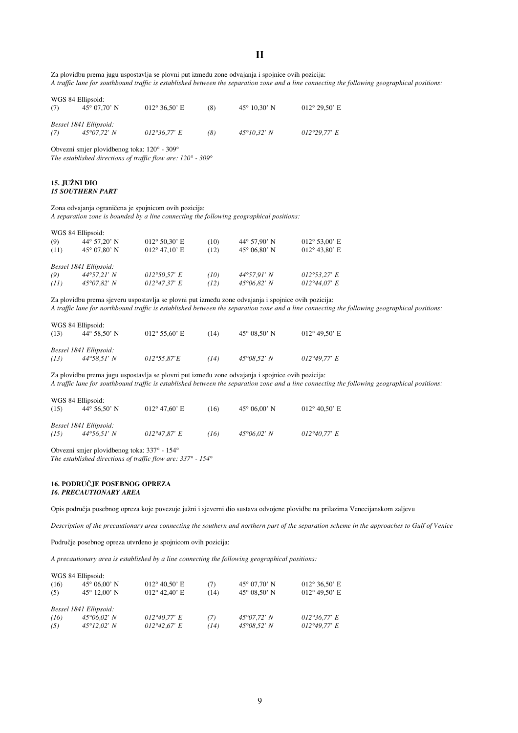**II**

Za plovidbu prema jugu uspostavlja se plovni put između zone odvajanja i spojnice ovih pozicija: *A traffic lane for southbound traffic is established between the separation zone and a line connecting the following geographical positions:* 

| WGS 84 Ellipsoid:<br>(7) | $45^{\circ}$ 07.70' N                           | $012^{\circ} 36.50^{\circ}$ E | (8) | $45^{\circ}$ 10.30' N        | $012^{\circ} 29.50$ ' E |
|--------------------------|-------------------------------------------------|-------------------------------|-----|------------------------------|-------------------------|
| (7)                      | Bessel 1841 Ellipsoid:<br>$45^{\circ}07.72$ ' N | $012^{\circ}36.77$ ' E        | (8) | $45^{\circ}10.32^{\prime} N$ | $012^{\circ}29.77$ ' E  |

Obvezni smjer plovidbenog toka: 120° - 309°

*The established directions of traffic flow are: 120° - 309°*

#### **15. JUÆNI DIO** *15 SOUTHERN PART*

Zona odvajanja ograničena je spojnicom ovih pozicija:

*A separation zone is bounded by a line connecting the following geographical positions:*

|      | WGS 84 Ellipsoid:      |                               |      |                       |                               |
|------|------------------------|-------------------------------|------|-----------------------|-------------------------------|
| (9)  | $44^{\circ} 57.20' N$  | $012^{\circ} 50,30^{\circ}$ E | (10) | 44 $\degree$ 57.90' N | $012^{\circ} 53.00^{\circ}$ E |
| (11) | $45^{\circ}$ 07,80' N  | $012^{\circ}$ 47,10' E        | (12) | $45^{\circ}$ 06,80' N | $012^{\circ}$ 43,80' E        |
|      | Bessel 1841 Ellipsoid: |                               |      |                       |                               |
| (9)  | $44^{\circ}57.21' N$   | $012^{\circ}50.57$ ' E        | (10) | $44^{\circ}57.91' N$  | $012^{\circ}53.27$ ' E        |
| (11) | $45^{\circ}07.82$ ' N  | $012^{\circ}47.37$ ' E        | (12) | $45^{\circ}06.82$ ' N | $012^{\circ}44.07$ ' E        |

Za plovidbu prema sjeveru uspostavlja se plovni put između zone odvajanja i spojnice ovih pozicija: *A traffic lane for northbound traffic is established between the separation zone and a line connecting the following geographical positions:* 

| WGS 84 Ellipsoid: |                        |                               |      |                              |                        |
|-------------------|------------------------|-------------------------------|------|------------------------------|------------------------|
| (13)              | $44^{\circ} 58.50'$ N  | $012^{\circ} 55.60^{\circ}$ E | (14) | $45^{\circ}$ 08.50' N        | $012^{\circ}$ 49.50' E |
|                   |                        |                               |      |                              |                        |
|                   |                        |                               |      |                              |                        |
|                   | Bessel 1841 Ellipsoid: |                               |      |                              |                        |
| (13)              | 44°58.51' N            | $012^{\circ}55.87'E$          | (14) | $45^{\circ}08.52^{\prime} N$ | $012^{\circ}49.77$ ' E |
|                   |                        |                               |      |                              |                        |

Za plovidbu prema jugu uspostavlja se plovni put između zone odvajanja i spojnice ovih pozicija: *A traffic lane for southbound traffic is established between the separation zone and a line connecting the following geographical positions:* 

|      | WGS 84 Ellipsoid:      |                               |      |                              |                               |
|------|------------------------|-------------------------------|------|------------------------------|-------------------------------|
| (15) | $44^{\circ} 56.50'$ N  | $012^{\circ}$ 47.60' E        | (16) | $45^{\circ} 06.00^{\circ} N$ | $012^{\circ} 40.50^{\circ}$ E |
|      |                        |                               |      |                              |                               |
|      | Bessel 1841 Ellipsoid: |                               |      |                              |                               |
| (15) | $44^{\circ}56.51' N$   | $012^{\circ}47.87^{\prime} E$ | (16) | $45^{\circ}06.02$ ' N        | $012^{\circ}40.77$ ' E        |
|      |                        |                               |      |                              |                               |

Obvezni smjer plovidbenog toka: 337° - 154°

*The established directions of traffic flow are: 337° - 154°*

#### 16. PODRUČJE POSEBNOG OPREZA *16. PRECAUTIONARY AREA*

Opis područja posebnog opreza koje povezuje južni i sjeverni dio sustava odvojene plovidbe na prilazima Venecijanskom zaljevu

*Description of the precautionary area connecting the southern and northern part of the separation scheme in the approaches to Gulf of Venice*

Područje posebnog opreza utvrđeno je spojnicom ovih pozicija:

*A precautionary area is established by a line connecting the following geographical positions:* 

|      | WGS 84 Ellipsoid:            |                        |      |                       |                               |
|------|------------------------------|------------------------|------|-----------------------|-------------------------------|
| (16) | $45^{\circ} 06,00^{\circ} N$ | $012^{\circ}$ 40.50' E | (7)  | $45^{\circ}$ 07,70' N | $012^{\circ} 36.50^{\circ}$ E |
| (5)  | $45^{\circ}$ 12.00' N        | $012^{\circ}$ 42,40' E | (14) | $45^{\circ}$ 08.50' N | $012^{\circ}$ 49.50' E        |
|      | Bessel 1841 Ellipsoid:       |                        |      |                       |                               |
| (16) | $45^{\circ}06.02$ ' N        | $012^{\circ}40.77$ ' E | (7)  | $45^{\circ}07.72$ ' N | $012^{\circ}36.77$ ' E        |
| (5)  | $45^{\circ}12.02^{\prime} N$ | 012°42.67' E           | (14) | $45^{\circ}08.52$ ' N | $012^{\circ}49.77$ ' E        |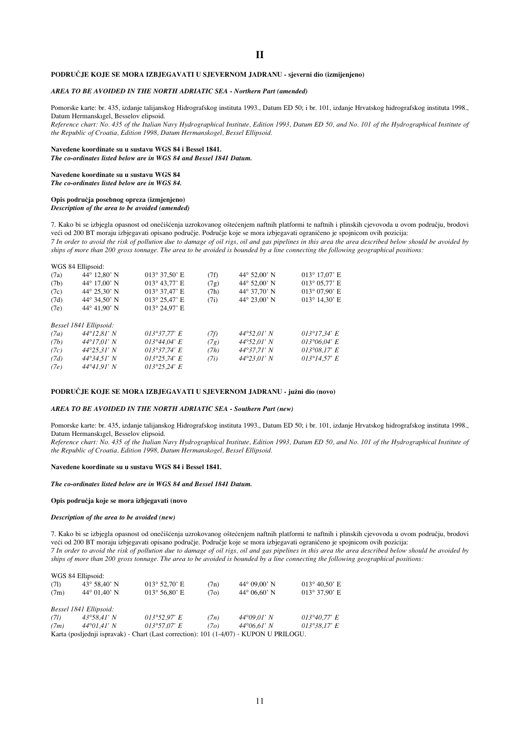#### **PODRU»JE KOJE SE MORA IZBJEGAVATI U SJEVERNOM JADRANU - sjeverni dio (izmijenjeno)**

#### *AREA TO BE AVOIDED IN THE NORTH ADRIATIC SEA - Northern Part (amended)*

Pomorske karte: br. 435, izdanje talijanskog Hidrografskog instituta 1993., Datum ED 50; i br. 101, izdanje Hrvatskog hidrografskog instituta 1998., Datum Hermanskıgel, Besselov elipsoid.

*Reference chart: No. 435 of the Italian Navy Hydrographical Institute, Edition 1993, Datum ED 50, and No. 101 of the Hydrographical Institute of the Republic of Croatia, Edition 1998, Datum Hermanskogel, Bessel Ellipsoid.* 

#### **Navedene koordinate su u sustavu WGS 84 i Bessel 1841.**

*The co-ordinates listed below are in WGS 84 and Bessel 1841 Datum.*

## **Navedene koordinate su u sustavu WGS 84**

*The co-ordinates listed below are in WGS 84.* 

## **Opis podruËja posebnog opreza (izmjenjeno)**

*Description of the area to be avoided (amended)*

7. Kako bi se izbjegla opasnost od onečišćenja uzrokovanog oštećenjem naftnih platformi te naftnih i plinskih cjevovoda u ovom području, brodovi veći od 200 BT moraju izbjegavati opisano područje. Područje koje se mora izbjegavati ograničeno je spojnicom ovih pozicija: *7 In order to avoid the risk of pollution due to damage of oil rigs, oil and gas pipelines in this area the area described below should be avoided by ships of more than 200 gross tonnage. The area to be avoided is bounded by a line connecting the following geographical positions:* 

|      | WGS 84 Ellipsoid:      |                         |      |                              |                         |
|------|------------------------|-------------------------|------|------------------------------|-------------------------|
| (7a) | $44^{\circ}$ 12,80' N  | $013^{\circ}$ 37,50' E  | (7f) | $44^{\circ}$ 52,00' N        | $013^{\circ}$ 17,07' E  |
| (7b) | $44^{\circ}$ 17,00' N  | $013^{\circ}$ 43,77' E  | (7g) | $44^{\circ} 52,00^{\circ} N$ | $013^{\circ} 05,77$ ' E |
| (7c) | 44 $^{\circ}$ 25,30' N | $013^{\circ}$ 37,47' E  | (7h) | 44° 37,70' N                 | $013^{\circ} 07.90'$ E  |
| (7d) | 44° 34,50' N           | $013^{\circ} 25.47$ ' E | (7i) | 44 $^{\circ}$ 23,00' N       | $013^{\circ}$ 14,30' E  |
| (7e) | 44° 41.90' N           | $013^{\circ} 24.97' E$  |      |                              |                         |
|      | Bessel 1841 Ellipsoid: |                         |      |                              |                         |
| (7a) | $44^{\circ}12.81' N$   | 013°37,77' E            | (7f) | $44^{\circ}52.01' N$         | $013^{\circ}17.34$ ' E  |
| (7b) | 44°17.01' N            | 013°44.04' E            | (7g) | $44^{\circ}52.01' N$         | $013^{\circ}06.04$ ' E  |
| (7c) | $44^{\circ}25.31' N$   | $013^{\circ}37.74$ ' E  | (7h) | $44^{\circ}37.71' N$         | $013^{\circ}08.17$ ' E  |
| (7d) | $44^{\circ}34.51' N$   | $013^{\circ}25.74$ ' E  | (7i) | $44^{\circ}23.01' N$         | $013^{\circ}14.57$ ' E  |
| (7e) | $44^{\circ}41.91' N$   | 013°25.24' E            |      |                              |                         |
|      |                        |                         |      |                              |                         |

#### PODRUČJE KOJE SE MORA IZBJEGAVATI U SJEVERNOM JADRANU - južni dio (novo)

#### *AREA TO BE AVOIDED IN THE NORTH ADRIATIC SEA - Southern Part (new)*

Pomorske karte: br. 435, izdanje talijanskog Hidrografskog instituta 1993., Datum ED 50; i br. 101, izdanje Hrvatskog hidrografskog instituta 1998., Datum Hermanskıgel, Besselov elipsoid.

*Reference chart: No. 435 of the Italian Navy Hydrographical Institute, Edition 1993, Datum ED 50, and No. 101 of the Hydrographical Institute of the Republic of Croatia, Edition 1998, Datum Hermanskogel, Bessel Ellipsoid.* 

#### **Navedene koordinate su u sustavu WGS 84 i Bessel 1841.**

#### *The co-ordinates listed below are in WGS 84 and Bessel 1841 Datum.*

#### **Opis podruËja koje se mora izbjegavati (novo**

#### *Description of the area to be avoided (new)*

7. Kako bi se izbjegla opasnost od onečišćenja uzrokovanog oštećenjem naftnih platformi te naftnih i plinskih cjevovoda u ovom području, brodovi veći od 200 BT moraju izbjegavati opisano područje. Područje koje se mora izbjegavati ograničeno je spojnicom ovih pozicija: *7 In order to avoid the risk of pollution due to damage of oil rigs, oil and gas pipelines in this area the area described below should be avoided by ships of more than 200 gross tonnage. The area to be avoided is bounded by a line connecting the following geographical positions:* 

|      | WGS 84 Ellipsoid:            |                                                                                        |                   |                       |                               |
|------|------------------------------|----------------------------------------------------------------------------------------|-------------------|-----------------------|-------------------------------|
| (71) | $43^{\circ} 58,40^{\circ} N$ | $013^{\circ}$ 52,70' E                                                                 | (7n)              | $44^{\circ}$ 09,00' N | $013^{\circ} 40.50^{\circ}$ E |
| (7m) | $44^{\circ}$ 01.40' N        | $013^{\circ} 56.80^{\circ}$ E                                                          | (7 <sub>o</sub> ) | $44^{\circ}$ 06.60' N | $013^{\circ} 37.90^{\circ}$ E |
|      | Bessel 1841 Ellipsoid:       |                                                                                        |                   |                       |                               |
| (7l) | $43^{\circ}58.41' N$         | $013^{\circ}52.97$ ' E                                                                 | (7n)              | $44^{\circ}09.01' N$  | $013^{\circ}40.77$ ' E        |
| (7m) | $44^{\circ}01.41' N$         | $013^{\circ}57.07$ ' E                                                                 | (70)              | $44^{\circ}06.61' N$  | $013^{\circ}38.17$ ' E        |
|      |                              | Karta (posljednji ispravak) - Chart (Last correction): 101 (1-4/07) - KUPON U PRILOGU. |                   |                       |                               |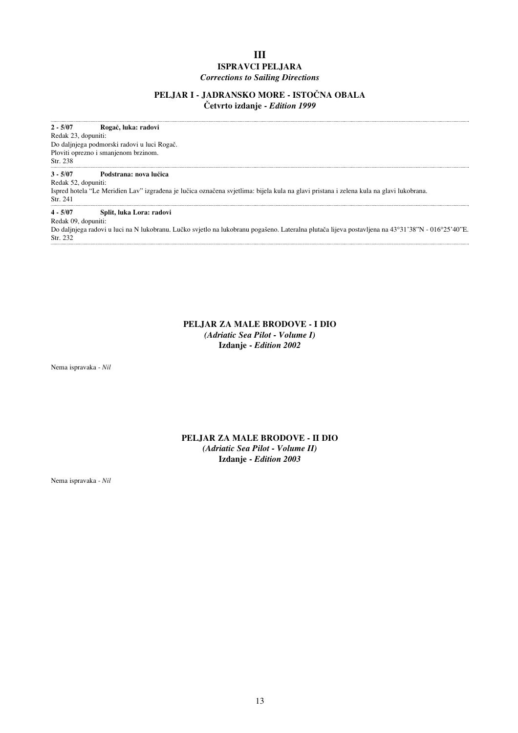## **III ISPRAVCI PELJARA** *Corrections to Sailing Directions*

### PELJAR I - JADRANSKO MORE - ISTOČNA OBALA **»etvrto izdanje -** *Edition 1999*

**2 - 5/07 RogaË, luka: radovi** Redak 23, dopuniti: Do daljnjega podmorski radovi u luci RogaË. Ploviti oprezno i smanjenom brzinom. Str. 238 **3 - 5/07 Podstrana: nova luËica** Redak 52, dopuniti: Ispred hotela "Le Meridien Lav" izgrađena je lučica označena svjetlima: bijela kula na glavi pristana i zelena kula na glavi lukobrana. Str. 241 **4 - 5/07 Split, luka Lora: radovi** Redak 09, dopuniti: Do daljnjega radovi u luci na N lukobranu. Lučko svjetlo na lukobranu pogašeno. Lateralna plutača lijeva postavljena na 43°31'38"N - 016°25'40"E. Str. 232 

## **PELJAR ZA MALE BRODOVE - I DIO** *(Adriatic Sea Pilot - Volume I)* **Izdanje -** *Edition 2002*

Nema ispravaka - *Nil*

## **PELJAR ZA MALE BRODOVE - II DIO** *(Adriatic Sea Pilot - Volume II)* **Izdanje -** *Edition 2003*

Nema ispravaka - *Nil*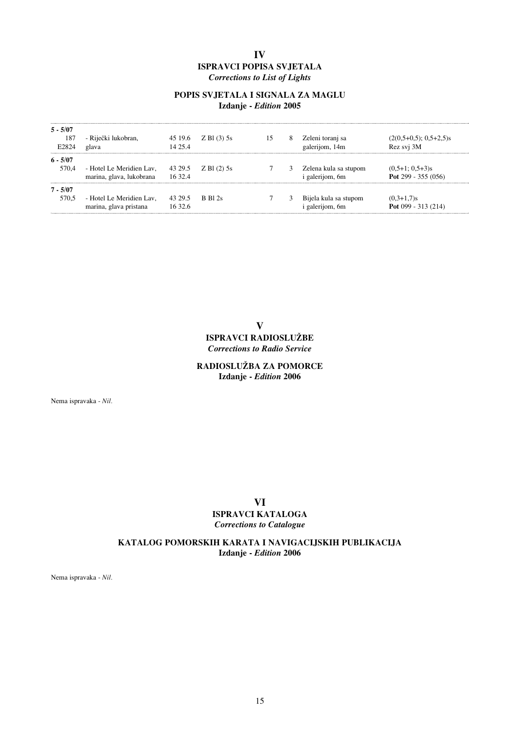## **IV ISPRAVCI POPISA SVJETALA** *Corrections to List of Lights*

## **POPIS SVJETALA I SIGNALA ZA MAGLU Izdanje -** *Edition* **2005**

| $5 - 5/07$<br>187<br>E2824 | - Riječki lukobran,<br>glava                         | 45 19.6<br>14 25 4 | $Z$ Bl (3) 5s           | 15 | 8 | Zeleni toranj sa<br>galerijom, 14m              | $(2(0,5+0,5); 0,5+2,5)$ s<br>Rez svj 3M    |
|----------------------------|------------------------------------------------------|--------------------|-------------------------|----|---|-------------------------------------------------|--------------------------------------------|
| $6 - 5/07$<br>570.4        | - Hotel Le Meridien Lav,<br>marina, glava, lukobrana | 43 29.5<br>16 32.4 | $Z$ Bl $(2)$ 5s         |    | 3 | Zelena kula sa stupom<br><i>i</i> galerijom, 6m | $(0.5+1; 0.5+3)s$<br>Pot 299 - 355 $(056)$ |
| $7 - 5/07$<br>570.5        | - Hotel Le Meridien Lav,<br>marina, glava pristana   | 43 29.5<br>1632.6  | $R$ R <sub>1</sub> $2s$ |    |   | Bijela kula sa stupom<br><i>i</i> galerijom, 6m | $(0,3+1,7)$ s<br>Pot $099 - 313(214)$      |

**V ISPRAVCI RADIOSLUÆBE** *Corrections to Radio Service*

## **RADIOSLUÆBA ZA POMORCE Izdanje -** *Edition* **2006**

Nema ispravaka - *Nil.*

## **VI ISPRAVCI KATALOGA** *Corrections to Catalogue*

## **KATALOG POMORSKIH KARATA I NAVIGACIJSKIH PUBLIKACIJA Izdanje -** *Edition* **2006**

Nema ispravaka - *Nil.*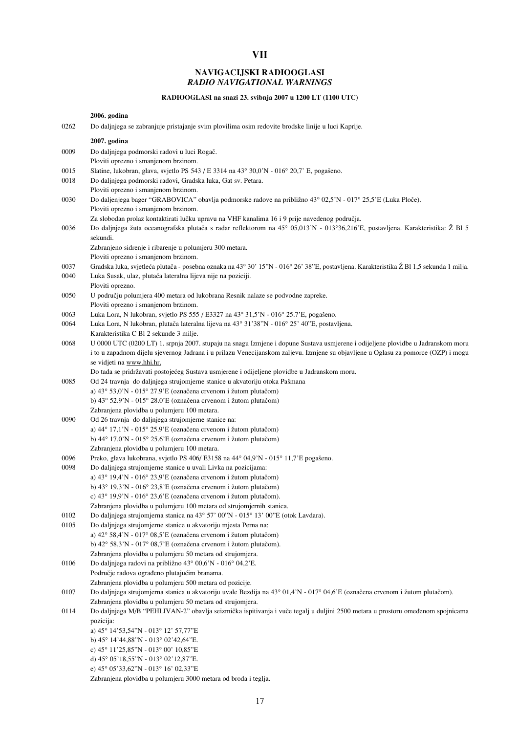## **NAVIGACIJSKI RADIOOGLASI** *RADIO NAVIGATIONAL WARNINGS*

**VII**

## **RADIOOGLASI na snazi 23. svibnja 2007 u 1200 LT (1100 UTC)**

**2006. godina**

|              | 2000. godina                                                                                                                                         |
|--------------|------------------------------------------------------------------------------------------------------------------------------------------------------|
| 0262         | Do daljnjega se zabranjuje pristajanje svim plovilima osim redovite brodske linije u luci Kaprije.                                                   |
|              | 2007. godina                                                                                                                                         |
| 0009         | Do daljnjega podmorski radovi u luci Rogač.                                                                                                          |
|              | Ploviti oprezno i smanjenom brzinom.                                                                                                                 |
| 0015         | Slatine, lukobran, glava, svjetlo PS 543 / E 3314 na 43° 30,0'N - 016° 20,7' E, pogašeno.                                                            |
| 0018         | Do daljnjega podmorski radovi, Gradska luka, Gat sv. Petara.                                                                                         |
|              | Ploviti oprezno i smanjenom brzinom.                                                                                                                 |
| 0030         | Do daljenjega bager "GRABOVICA" obavlja podmorske radove na približno 43° 02,5'N - 017° 25,5'E (Luka Ploče).                                         |
|              | Ploviti oprezno i smanjenom brzinom.                                                                                                                 |
|              | Za slobodan prolaz kontaktirati lučku upravu na VHF kanalima 16 i 9 prije navedenog područja.                                                        |
| 0036         | Do daljnjega žuta oceanografska plutača s radar reflektorom na 45° 05,013'N - 013°36,216'E, postavljena. Karakteristika: Ž Bl 5                      |
|              | sekundi.                                                                                                                                             |
|              | Zabranjeno sidrenje i ribarenje u polumjeru 300 metara.<br>Ploviti oprezno i smanjenom brzinom.                                                      |
| 0037         | Gradska luka, svjetleća plutača - posebna oznaka na 43° 30' 15"N - 016° 26' 38"E, postavljena. Karakteristika Ž Bl 1,5 sekunda 1 milja.              |
| 0040         | Luka Susak, ulaz, plutača lateralna lijeva nije na poziciji.                                                                                         |
|              | Ploviti oprezno.                                                                                                                                     |
| 0050         | U području polumjera 400 metara od lukobrana Resnik nalaze se podvodne zapreke.                                                                      |
|              | Ploviti oprezno i smanjenom brzinom.                                                                                                                 |
| 0063         | Luka Lora, N lukobran, svjetlo PS 555 / E3327 na 43° 31,5'N - 016° 25.7'E, pogašeno.                                                                 |
| 0064         | Luka Lora, N lukobran, plutača lateralna lijeva na 43° 31'38"N - 016° 25' 40"E, postavljena.                                                         |
|              | Karakteristika C Bl 2 sekunde 3 milje.                                                                                                               |
| 0068         | U 0000 UTC (0200 LT) 1. srpnja 2007. stupaju na snagu Izmjene i dopune Sustava usmjerene i odijeljene plovidbe u Jadranskom moru                     |
|              | i to u zapadnom dijelu sjevernog Jadrana i u prilazu Venecijanskom zaljevu. Izmjene su objavljene u Oglasu za pomorce (OZP) i mogu                   |
|              | se vidjeti na www.hhi.hr.                                                                                                                            |
|              | Do tada se pridržavati postojećeg Sustava usmjerene i odijeljene plovidbe u Jadranskom moru.                                                         |
| 0085         | Od 24 travnja do daljnjega strujomjerne stanice u akvatoriju otoka Pašmana                                                                           |
|              | a) 43° 53,0'N - 015° 27.9'E (označena crvenom i žutom plutačom)<br>b) 43° 52.9'N - 015° 28.0'E (označena crvenom i žutom plutačom)                   |
|              | Zabranjena plovidba u polumjeru 100 metara.                                                                                                          |
| 0090         | Od 26 travnja do daljnjega strujomjerne stanice na:                                                                                                  |
|              | a) 44° 17,1'N - 015° 25.9'E (označena crvenom i žutom plutačom)                                                                                      |
|              | b) 44° 17.0'N - 015° 25.6'E (označena crvenom i žutom plutačom)                                                                                      |
|              | Zabranjena plovidba u polumjeru 100 metara.                                                                                                          |
| 0096         | Preko, glava lukobrana, svjetlo PS 406/E3158 na 44° 04,9'N - 015° 11,7'E pogašeno.                                                                   |
| 0098         | Do daljnjega strujomjerne stanice u uvali Livka na pozicijama:                                                                                       |
|              | a) $43^{\circ}$ 19,4'N - 016° 23,9'E (označena crvenom i žutom plutačom)                                                                             |
|              | b) $43^{\circ}$ 19,3'N - 016° 23,8'E (označena crvenom i žutom plutačom)                                                                             |
|              | c) $43^{\circ}$ 19,9'N - 016° 23,6'E (označena crvenom i žutom plutačom).                                                                            |
|              | Zabranjena plovidba u polumjeru 100 metara od strujomjernih stanica                                                                                  |
| 0102<br>0105 | Do daljnjega strujomjerna stanica na 43° 57' 00"N - 015° 13' 00"E (otok Lavdara).<br>Do daljnjega strujomjerne stanice u akvatoriju mjesta Perna na: |
|              | a) $42^{\circ}$ 58,4'N - 017° 08,5'E (označena crvenom i žutom plutačom)                                                                             |
|              | b) 42° 58,3'N - 017° 08,7'E (označena crvenom i žutom plutačom).                                                                                     |
|              | Zabranjena plovidba u polumjeru 50 metara od strujomjera.                                                                                            |
| 0106         | Do daljnjega radovi na približno 43° 00,6'N - 016° 04,2'E.                                                                                           |
|              | Područje radova ograđeno plutajućim branama.                                                                                                         |
|              | Zabranjena plovidba u polumjeru 500 metara od pozicije.                                                                                              |
| 0107         | Do daljnjega strujomjerna stanica u akvatoriju uvale Bezdija na 43° 01,4'N - 017° 04,6'E (označena crvenom i žutom plutačom).                        |
|              | Zabranjena plovidba u polumjeru 50 metara od strujomjera.                                                                                            |
| 0114         | Do daljnjega M/B "PEHLIVAN-2" obavlja seizmička ispitivanja i vuče tegalj u duljini 2500 metara u prostoru omeđenom spojnicama                       |
|              | pozicija:                                                                                                                                            |
|              | a) 45° 14'53,54"N - 013° 12' 57,77"E                                                                                                                 |
|              | b) $45^{\circ}$ 14'44,88"N - 013° 02'42,64"E.                                                                                                        |
|              | c) 45° 11'25,85"N - 013° 00' 10,85"E                                                                                                                 |
|              | d) 45° 05'18,55"N - 013° 02'12,87"E.                                                                                                                 |
|              | e) 45° 05'33,62"N - 013° 16' 02,33"E                                                                                                                 |
|              | Zabranjena plovidba u polumjeru 3000 metara od broda i teglja.                                                                                       |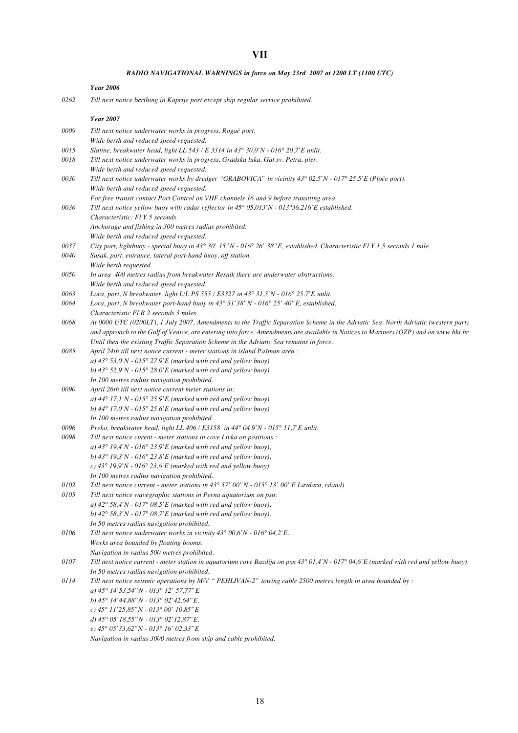#### *RADIO NAVIGATIONAL WARNINGS in force on May 23rd 2007 at 1200 LT (1100 UTC)*

#### *Year 2006*

*0262 Till next notice berthing in Kaprije port except ship regular service prohibited.*

#### *Year 2007*

*0009 Till next notice underwater works in progress, RogaË port. Wide berth and reduced speed requested. 0015 Slatine, breakwater head, light LL 543 / E 3314 in 43° 30,0'N - 016° 20,7'E unlit. 0018 Till next notice underwater works in progress, Gradska luka, Gat sv. Petra, pier. Wide berth and reduced speed requested. 0030 Till next notice underwater works by dredger "GRABOVICA" in vicinity 43° 02,5'N - 017° 25,5'E (PloËe port). Wide berth and reduced speed requested. For free transit contact Port Control on VHF channels 16 and 9 before transiting area. 0036 Till next notice yellow buoy with radar reflector in 45° 05,013'N - 013°36,216'E established. Characteristic: Fl Y 5 seconds. Anchorage and fishing in 300 metres radius prohibited. Wide berth and reduced speed requested. 0037 City port, lightbuoy - special buoy in 43° 30' 15"N - 016° 26' 38"E, established. Characteristic Fl Y 1,5 seconds 1 mile. 0040 Susak, port, entrance, lateral port-hand buoy, off station. Wide berth requested. 0050 In area 400 metres radius from breakwater Resnik there are underwater obstructions. Wide berth and reduced speed requested. 0063 Lora, port, N breakwater, light L/L PS 555 / E3327 in 43° 31,5'N - 016° 25.7'E unlit. 0064 Lora, port, N breakwater port-hand buoy in 43° 31'38"N - 016° 25' 40"E, established. Characteristic Fl R 2 seconds 3 miles. 0068 At 0000 UTC (0200LT), 1 July 2007, Amendments to the Traffic Separation Scheme in the Adriatic Sea, North Adriatic (western part) and approach to the Gulf of Venice, are entering into force. Amendments are available in Notices to Mariners (OZP) and on www.hhi.hr Until then the existing Traffic Separation Scheme in the Adriatic Sea remains in force. 0085 April 24th till next notice current - meter stations in island Pašman area : a) 43° 53,0'N - 015° 27.9'E (marked with red and yellow buoy) b) 43° 52.9'N - 015° 28.0'E (marked with red and yellow buoy) In 100 metres radius navigation prohibited. 0090 April 26th till next notice current meter stations in: a) 44° 17,1'N - 015° 25.9'E (marked with red and yellow buoy) b) 44° 17.0'N - 015° 25.6'E (marked with red and yellow buoy) In 100 metres radius navigation prohibited. 0096 Preko, breakwater head, light LL 406 / E3158 in 44° 04,9'N - 015° 11,7'E unlit. 0098 Till next notice curent - meter stations in cove Livka on positions : a) 43° 19,4'N - 016° 23,9'E (marked with red and yellow buoy), b) 43° 19,3'N - 016° 23,8'E (marked with red and yellow buoy), c) 43° 19,9'N - 016° 23,6'E (marked with red and yellow buoy). In 100 metres radius navigation prohibited. 0102 Till next notice current - meter stations in 43° 57' 00"N - 015° 13' 00"E Lavdara, island) 0105 Till next notice wavegraphic stations in Perna aquatorium on psn: a) 42° 58,4'N - 017° 08,5'E (marked with red and yellow buoy), b) 42° 58,3'N - 017° 08,7'E (marked with red and yellow buoy). In 50 metres radius navigation prohibited. 0106 Till next notice underwater works in vicinity 43° 00,6'N - 016° 04,2'E. Works area bounded by floating booms. Navigation in radius 500 metres prohibited. 0107 Till next notice current - meter station in aquatorium cove Bazdija on psn 43° 01,4'N - 017° 04,6'E (marked with red and yellow buoy). In 50 metres radius navigation prohibited. 0114 Till next notice seismic operations by M/V " PEHLIVAN-2" towing cable 2500 metres length in area bounded by : a) 45° 14'53,54"N - 013° 12' 57,77"E b) 45° 14'44,88"N - 013° 02'42,64"E. c) 45° 11'25,85"N - 013° 00' 10,85"E d) 45° 05'18,55"N - 013° 02'12,87"E. e) 45° 05'33,62"N - 013° 16' 02,33"E Navigation in radius 3000 metres from ship and cable prohibited.*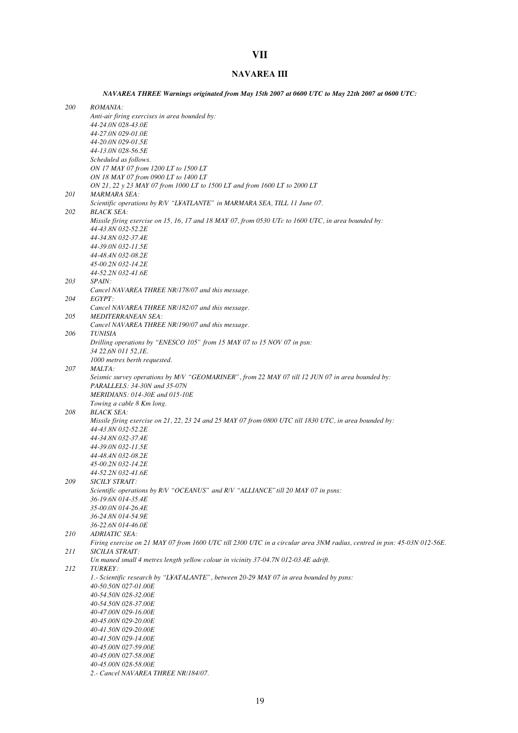## **VII**

## **NAVAREA III**

*NAVAREA THREE Warnings originated from May 15th 2007 at 0600 UTC to May 22th 2007 at 0600 UTC:*

| <i>200</i> | <i>ROMANIA:</i>                                                                                                              |
|------------|------------------------------------------------------------------------------------------------------------------------------|
|            | Anti-air firing exercises in area bounded by:                                                                                |
|            | 44-24.0N 028-43.0E                                                                                                           |
|            | 44-27.0N 029-01.0E<br>44-20.0N 029-01.5E                                                                                     |
|            | 44-13.0N 028-56.5E                                                                                                           |
|            | Scheduled as follows.                                                                                                        |
|            | ON 17 MAY 07 from 1200 LT to 1500 LT                                                                                         |
|            | ON 18 MAY 07 from 0900 LT to 1400 LT                                                                                         |
|            | ON 21, 22 y 23 MAY 07 from 1000 LT to 1500 LT and from 1600 LT to 2000 LT                                                    |
| <i>201</i> | <b>MARMARA SEA:</b>                                                                                                          |
| 202        | Scientific operations by R/V "L¥ATLANTE" in MARMARA SEA, TILL 11 June 07.<br><b>BLACK SEA:</b>                               |
|            | Missile firing exercise on 15, 16, 17 and 18 MAY 07, from 0530 UTc to 1600 UTC, in area bounded by:                          |
|            | 44-43.8N 032-52.2E                                                                                                           |
|            | 44-34.8N 032-37.4E                                                                                                           |
|            | 44-39.0N 032-11.5E                                                                                                           |
|            | 44-48.4N 032-08.2E<br>45-00.2N 032-14.2E                                                                                     |
|            | 44-52.2N 032-41.6E                                                                                                           |
| 203        | <i>SPAIN:</i>                                                                                                                |
|            | Cancel NAVAREA THREE NR/178/07 and this message.                                                                             |
| 204        | EGYPT:                                                                                                                       |
|            | Cancel NAVAREA THREE NR/182/07 and this message.                                                                             |
| 205        | <b>MEDITERRANEAN SEA:</b>                                                                                                    |
|            | Cancel NAVAREA THREE NR/190/07 and this message.                                                                             |
| 206        | <b>TUNISIA</b><br>Drilling operations by "ENESCO 105" from 15 MAY 07 to 15 NOV 07 in psn:                                    |
|            | 34 22,6N 011 52,1E.                                                                                                          |
|            | 1000 metres berth requested.                                                                                                 |
| 207        | MALTA:                                                                                                                       |
|            | Seismic survey operations by M/V "GEOMARINER", from 22 MAY 07 till 12 JUN 07 in area bounded by:                             |
|            | PARALLELS: 34-30N and 35-07N                                                                                                 |
|            | MERIDIANS: 014-30E and 015-10E                                                                                               |
|            | Towing a cable 8 Km long.                                                                                                    |
| 208        | <b>BLACK SEA:</b><br>Missile firing exercise on 21, 22, 23 24 and 25 MAY 07 from 0800 UTC till 1830 UTC, in area bounded by: |
|            | 44-43.8N 032-52.2E                                                                                                           |
|            | 44-34.8N 032-37.4E                                                                                                           |
|            | 44-39.0N 032-11.5E                                                                                                           |
|            | 44-48.4N 032-08.2E                                                                                                           |
|            | 45-00.2N 032-14.2E                                                                                                           |
|            | 44-52.2N 032-41.6E                                                                                                           |
| 209        | SICILY STRAIT:                                                                                                               |
|            | Scientific operations by R/V "OCEANUS" and R/V "ALLIANCE" till 20 MAY 07 in psns:<br>36-19.6N 014-35.4E                      |
|            | 35-00.0N 014-26.4E                                                                                                           |
|            | 36-24.8N 014-54.9E                                                                                                           |
|            | 36-22.6N 014-46.0E                                                                                                           |
| 210        | <b>ADRIATIC SEA:</b>                                                                                                         |
|            | Firing exercise on 21 MAY 07 from 1600 UTC till 2300 UTC in a circular area 3NM radius, centred in psn: 45-03N 012-56E.      |
| 211        | SICILIA STRAIT:                                                                                                              |
|            | Un maned small 4 metres length yellow colour in vicinity 37-04.7N 012-03.4E adrift.                                          |
| 212        | TURKEY:<br>1. Scientific research by "L¥ATALANTE", between 20-29 MAY 07 in area bounded by psns:                             |
|            | 40-50.50N 027-01.00E                                                                                                         |
|            | 40-54.50N 028-32.00E                                                                                                         |
|            | 40-54.50N 028-37.00E                                                                                                         |
|            | 40-47.00N 029-16.00E                                                                                                         |
|            | 40-45.00N 029-20.00E                                                                                                         |
|            | 40-41.50N 029-20.00E                                                                                                         |
|            | 40-41.50N 029-14.00E                                                                                                         |
|            | 40-45.00N 027-59.00E                                                                                                         |
|            | 40-45.00N 027-58.00E<br>40-45.00N 028-58.00E                                                                                 |
|            | 2.- Cancel NAVAREA THREE NR/184/07.                                                                                          |
|            |                                                                                                                              |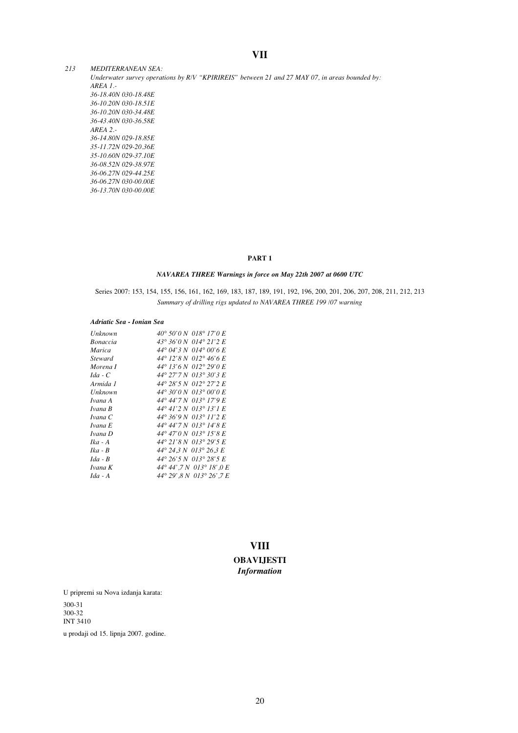## **VII**

*213 MEDITERRANEAN SEA: Underwater survey operations by R/V "KPIRIREIS" between 21 and 27 MAY 07, in areas bounded by: AREA 1.- 36-18.40N 030-18.48E 36-10.20N 030-18.51E 36-10.20N 030-34.48E 36-43.40N 030-36.58E AREA 2.- 36-14.80N 029-18.85E 35-11.72N 029-20.36E 35-10.60N 029-37.10E 36-08.52N 029-38.97E 36-06.27N 029-44.25E 36-06.27N 030-00.00E 36-13.70N 030-00.00E*

#### **PART 1**

### *NAVAREA THREE Warnings in force on May 22th 2007 at 0600 UTC*

Series 2007: 153, 154, 155, 156, 161, 162, 169, 183, 187, 189, 191, 192, 196, 200, 201, 206, 207, 208, 211, 212, 213 *Summary of drilling rigs updated to NAVAREA THREE 199 /07 warning*

#### *Adriatic Sea - Ionian Sea*

| Unknown         | 40° 50'0 N 018° 17'0 E                    |
|-----------------|-------------------------------------------|
| <b>Bonaccia</b> | 43° 36'0 N 014° 21'2 E                    |
| Marica          | 44° 04' 3 N 014° 00' 6 E                  |
| <i>Steward</i>  | 44° 12'8 N 012° 46'6 E                    |
| Morena I        | 44° 13'6 N 012° 29'0 E                    |
| $Ida - C$       | 44° 27'7 N 013° 30'3 E                    |
| Armida 1        | 44° 28'5 N 012° 27'2 E                    |
| Unknown         | $44^{\circ}$ 30'0 N 013 $^{\circ}$ 00'0 E |
| Ivana A         | 44°44'7 N 013°17'9 E                      |
| Ivana B         | 44° 41'2 N 013° 13'1 E                    |
| Ivana C         | 44° 36'9 N 013° 11'2 E                    |
| Ivana E         | 44°44'7 N 013°14'8 E                      |
| Ivana D         | 44° 47'0 N 013° 15'8 E                    |
| $Ika - A$       | 44° 21'8 N 013° 29'5 E                    |
| $Ika - B$       | 44° 24.3 N 013° 26.3 E                    |
| $Ida - B$       | 44° 26' 5 N 013° 28' 5 E                  |
| Ivana K         | 44°44',7 N 013°18',0 E                    |
| $Ida - A$       | 44° 29' 8 N 013° 26' 7 E                  |

## **VIII OBAVIJESTI** *Information*

U pripremi su Nova izdanja karata: 300-31 300-32 INT 3410 u prodaji od 15. lipnja 2007. godine.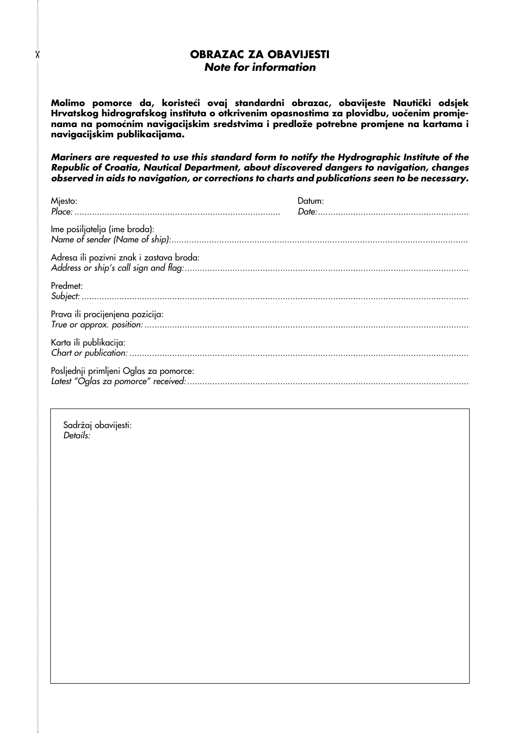## **OBRAZAC ZA OBAVIJESTI Note for information**

Molimo pomorce da, koristeći ovaj standardni obrazac, obavijeste Nautički odsjek Hrvatskog hidrografskog instituta o otkrivenim opasnostima za plovidbu, uočenim promje**nama na pomoÊnim navigacijskim sredstvima i predloæe potrebne promjene na kartama i navigacijskim publikacijama.**

**Mariners are requested to use this standard form to notify the Hydrographic Institute of the Republic of Croatia, Nautical Department, about discovered dangers to navigation, changes observed in aids to navigation, or corrections to charts and publications seen to be necessary.**

| Mjesto:                                  | Datum: |
|------------------------------------------|--------|
| Ime pošiljatelja (ime broda):            |        |
| Adresa ili pozivni znak i zastava broda: |        |
| Predmet:                                 |        |
| Prava ili procijenjena pozicija:         |        |
| Karta ili publikacija:                   |        |
| Posljednji primljeni Oglas za pomorce:   |        |

Sadržaj obavijesti: Details:

✂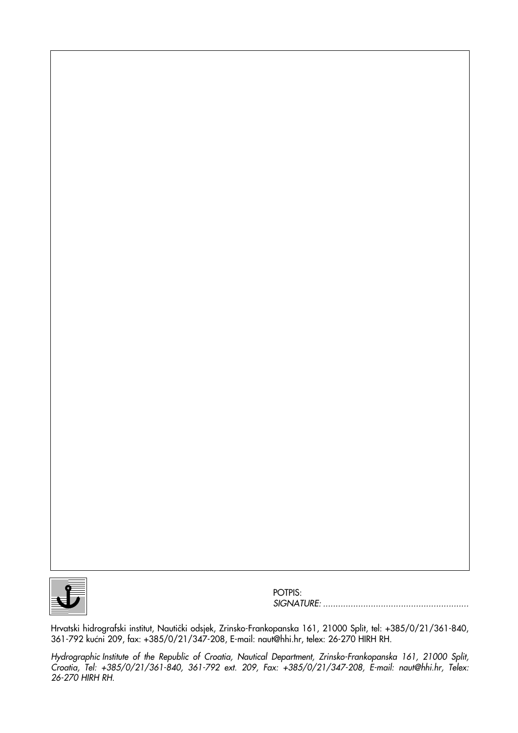

POTPIS: SIGNATURE: ..........................................................

Hrvatski hidrografski institut, Nautički odsjek, Zrinsko-Frankopanska 161, 21000 Split, tel: +385/0/21/361-840, 361-792 kućni 209, fax: +385/0/21/347-208, E-mail: naut@hhi.hr, telex: 26-270 HIRH RH.

Hydrographic Institute of the Republic of Croatia, Nautical Department, Zrinsko-Frankopanska 161, 21000 Split, Croatia, Tel: +385/0/21/361-840, 361-792 ext. 209, Fax: +385/0/21/347-208, E-mail: naut@hhi.hr, Telex: 26-270 HIRH RH.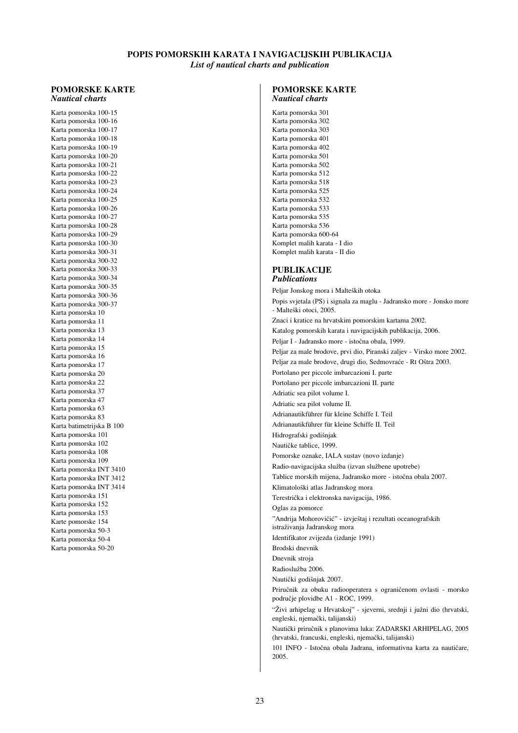## **POPIS POMORSKIH KARATA I NAVIGACIJSKIH PUBLIKACIJA**

*List of nautical charts and publication*

#### **POMORSKE KARTE** *Nautical charts*

Karta pomorska 100-15 Karta pomorska 100-16 Karta pomorska 100-17 Karta pomorska 100-18 Karta pomorska 100-19 Karta pomorska 100-20 Karta pomorska 100-21 Karta pomorska 100-22 Karta pomorska 100-23 Karta pomorska 100-24 Karta pomorska 100-25 Karta pomorska 100-26 Karta pomorska 100-27 Karta pomorska 100-28 Karta pomorska 100-29 Karta pomorska 100-30 Karta pomorska 300-31 Karta pomorska 300-32 Karta pomorska 300-33 Karta pomorska 300-34 Karta pomorska 300-35 Karta pomorska 300-36 Karta pomorska 300-37 Karta pomorska 10 Karta pomorska 11 Karta pomorska 13 Karta pomorska 14 Karta pomorska 15 Karta pomorska 16 Karta pomorska 17 Karta pomorska 20 Karta pomorska 22 Karta pomorska 37 Karta pomorska 47 Karta pomorska 63 Karta pomorska 83 Karta batimetrijska B 100 Karta pomorska 101 Karta pomorska 102 Karta pomorska 108 Karta pomorska 109 Karta pomorska INT 3410 Karta pomorska INT 3412 Karta pomorska INT 3414 Karta pomorska 151 Karta pomorska 152 Karta pomorska 153 Karte pomorske 154 Karta pomorska 50-3 Karta pomorska 50-4 Karta pomorska 50-20

#### **POMORSKE KARTE** *Nautical charts*

Karta pomorska 301 Karta pomorska 302 Karta pomorska 303 Karta pomorska 401 Karta pomorska 402 Karta pomorska 501 Karta pomorska 502 Karta pomorska 512 Karta pomorska 518 Karta pomorska 525 Karta pomorska 532 Karta pomorska 533 Karta pomorska 535 Karta pomorska 536 Karta pomorska 600-64 Komplet malih karata - I dio Komplet malih karata - II dio

#### **PUBLIKACIJE** *Publications*

Peljar Jonskog mora i Malteških otoka Popis svjetala (PS) i signala za maglu - Jadransko more - Jonsko more - Malteški otoci, 2005. Znaci i kratice na hrvatskim pomorskim kartama 2002. Katalog pomorskih karata i navigacijskih publikacija, 2006. Peljar I - Jadransko more - istoËna obala, 1999. Peljar za male brodove, prvi dio, Piranski zaljev - Virsko more 2002. Peljar za male brodove, drugi dio, Sedmovraće - Rt Oštra 2003. Portolano per piccole imbarcazioni I. parte Portolano per piccole imbarcazioni II. parte Adriatic sea pilot volume I. Adriatic sea pilot volume II. Adrianautikführer für kleine Schiffe I. Teil Adrianautikführer für kleine Schiffe II. Teil Hidrografski godišniak NautiËke tablice, 1999. Pomorske oznake, IALA sustav (novo izdanje) Radio-navigacijska služba (izvan službene upotrebe) Tablice morskih mijena, Jadransko more - istoËna obala 2007. Klimatološki atlas Jadranskog mora TerestriËka i elektronska navigacija, 1986. Oglas za pomorce "Andrija Mohorovičić" - izvještaj i rezultati oceanografskih istraživanja Jadranskog mora Identifikator zvijezda (izdanje 1991) Brodski dnevnik Dnevnik stroja Radioslužba 2006. Nautički godišniak 2007. Priručnik za obuku radiooperatera s ograničenom ovlasti - morsko podruËje plovidbe A1 - ROC, 1999. "Æivi arhipelag u Hrvatskoj" - sjeverni, srednji i juæni dio (hrvatski, engleski, njemaËki, talijanski) NautiËki priruËnik s planovima luka: ZADARSKI ARHIPELAG, 2005 (hrvatski, francuski, engleski, njemaËki, talijanski) 101 INFO - Istočna obala Jadrana, informativna karta za nautičare, 2005.